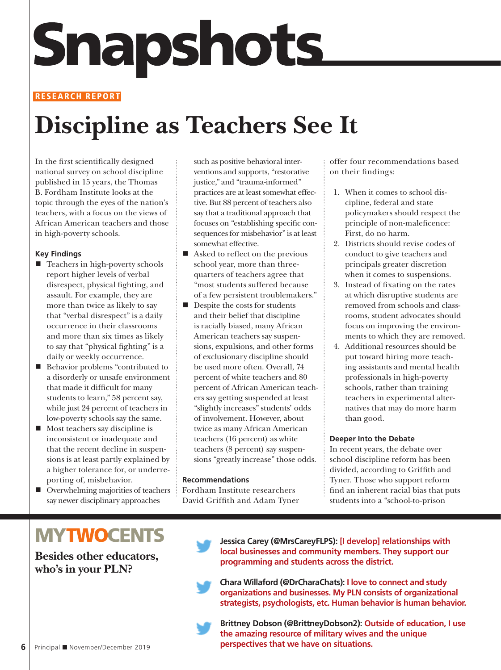# **Snapshots**

#### **RESEARCH REPORT**

## **Discipline as Teachers See It**

In the first scientifically designed national survey on school discipline published in 15 years, the Thomas B. Fordham Institute looks at the topic through the eyes of the nation's teachers, with a focus on the views of African American teachers and those in high-poverty schools.

#### **Key Findings**

- Teachers in high-poverty schools report higher levels of verbal disrespect, physical fighting, and assault. For example, they are more than twice as likely to say that "verbal disrespect" is a daily occurrence in their classrooms and more than six times as likely to say that "physical fighting" is a daily or weekly occurrence.
- **Behavior problems "contributed to** a disorderly or unsafe environment that made it difficult for many students to learn," 58 percent say, while just 24 percent of teachers in low-poverty schools say the same.
- $\blacksquare$  Most teachers say discipline is inconsistent or inadequate and that the recent decline in suspensions is at least partly explained by a higher tolerance for, or underreporting of, misbehavior.
- Overwhelming majorities of teachers say newer disciplinary approaches

such as positive behavioral interventions and supports, "restorative justice," and "trauma-informed" practices are at least somewhat effective. But 88 percent of teachers also say that a traditional approach that focuses on "establishing specific consequences for misbehavior" is at least somewhat effective.

- Asked to reflect on the previous school year, more than threequarters of teachers agree that "most students suffered because of a few persistent troublemakers."
- $\blacksquare$ <br> <br> Despite the costs for students and their belief that discipline is racially biased, many African American teachers say suspensions, expulsions, and other forms of exclusionary discipline should be used more often. Overall, 74 percent of white teachers and 80 percent of African American teachers say getting suspended at least "slightly increases" students' odds of involvement. However, about twice as many African American teachers (16 percent) as white teachers (8 percent) say suspensions "greatly increase" those odds.

#### **Recommendations**

Fordham Institute researchers David Griffith and Adam Tyner offer four recommendations based on their findings:

- 1. When it comes to school discipline, federal and state policymakers should respect the principle of non-maleficence: First, do no harm.
- 2. Districts should revise codes of conduct to give teachers and principals greater discretion when it comes to suspensions.
- 3. Instead of fixating on the rates at which disruptive students are removed from schools and classrooms, student advocates should focus on improving the environments to which they are removed.
- 4. Additional resources should be put toward hiring more teaching assistants and mental health professionals in high-poverty schools, rather than training teachers in experimental alternatives that may do more harm than good.

#### **Deeper Into the Debate**

In recent years, the debate over school discipline reform has been divided, according to Griffith and Tyner. Those who support reform find an inherent racial bias that puts students into a "school-to-prison

### **MYTWOCENTS**

**Besides other educators, who's in your PLN?**

**Jessica Carey (@MrsCareyFLPS): [I develop] relationships with local businesses and community members. They support our programming and students across the district.**

**Chara Willaford (@DrCharaChats): I love to connect and study organizations and businesses. My PLN consists of organizational strategists, psychologists, etc. Human behavior is human behavior.** 

**Brittney Dobson (@BrittneyDobson2): Outside of education, I use the amazing resource of military wives and the unique perspectives that we have on situations.**